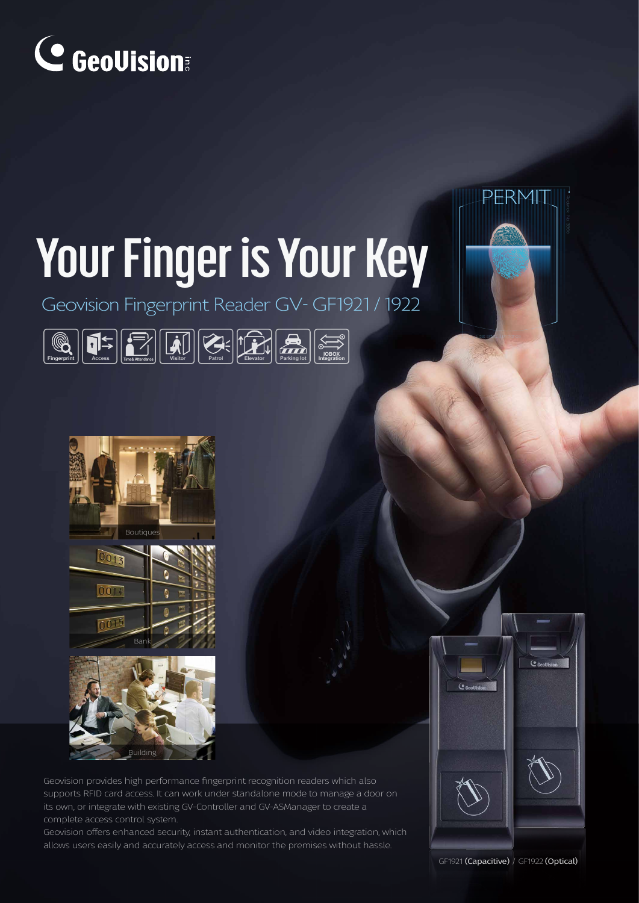

# **Your Finger is Your Key**

Geovision Fingerprint Reader GV- GF1921 / 1922





Geovision provides high performance fingerprint recognition readers which also supports RFID card access. It can work under standalone mode to manage a door on its own, or integrate with existing GV-Controller and GV-ASManager to create a complete access control system.

Geovision offers enhanced security, instant authentication, and video integration, which allows users easily and accurately access and monitor the premises without hassle.

GF1921 (Capacitive) / GF1922 (Optical)

 $\overline{(\bullet)}$ 

**PERMIT** 

East side E3 entrance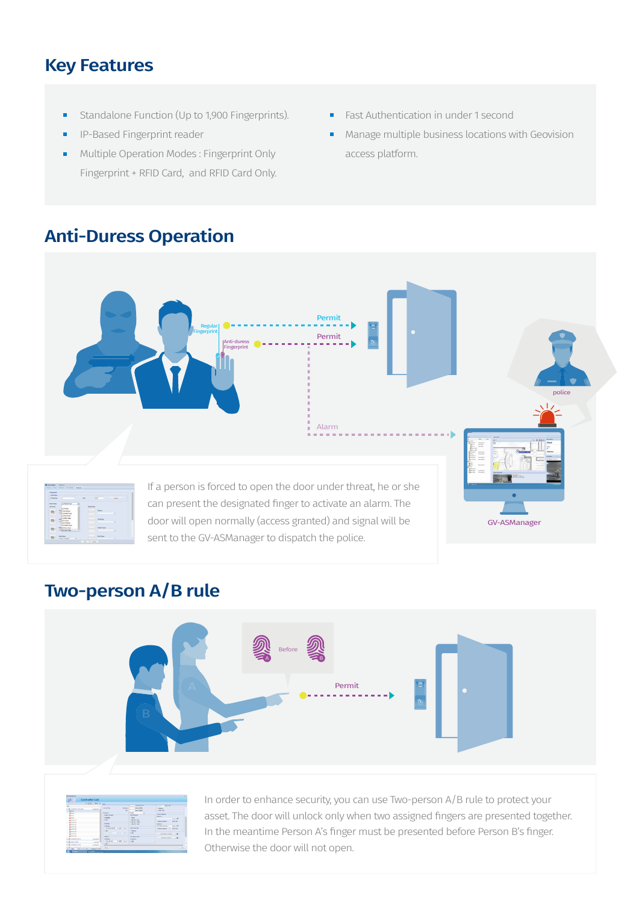#### Key Features

- Standalone Function (Up to 1,900 Fingerprints). ×
- IP-Based Fingerprint reader Ē.
- Multiple Operation Modes : Fingerprint Only  $\blacksquare$ Fingerprint + RFID Card, and RFID Card Only.
- Fast Authentication in under 1 second  $\blacksquare$
- Manage multiple business locations with Geovision access platform.

### Anti-Duress Operation



#### Two-person A/B rule



|                                                                                                                                    | <b><i>SHERIFFERE</i></b> |                                             |                                    |                                        |  |
|------------------------------------------------------------------------------------------------------------------------------------|--------------------------|---------------------------------------------|------------------------------------|----------------------------------------|--|
| 14                                                                                                                                 |                          |                                             | <b>International</b>               | NO-In                                  |  |
| (To fasteries Folds, Kill)                                                                                                         | <b>Construction</b>      | <b>SALE GATTING</b><br><b>SERGE</b>         | <b>Sales And Address</b>           | <b>Statistic</b>                       |  |
| Wines.                                                                                                                             |                          | $-00.1$                                     | <b>NATIONAL</b>                    | <b>Injection</b>                       |  |
| $8 - 1$                                                                                                                            |                          | <b>Bankin</b>                               | <b><i><u>Internet</u></i></b><br>× | <b>Laurence American</b>               |  |
| $x = 1$                                                                                                                            |                          | <b>Brader's Knock</b>                       | <b>Art Product</b>                 | <b>Seven In</b>                        |  |
| <b>King</b>                                                                                                                        |                          | of Residents                                | <b>Book</b>                        | $1 - 15$                               |  |
|                                                                                                                                    |                          | it bit                                      | B out user                         | <b>Selving country</b><br><b>SALES</b> |  |
| <b>X</b> Him At                                                                                                                    |                          | <b>Ballyman</b>                             | a bront Glod<br>Life and color     | <b>Detect In</b>                       |  |
| $X$ visitive                                                                                                                       |                          | of Manager                                  |                                    | <b>Side</b><br>as widen famous to      |  |
| <b>K</b> tick, by                                                                                                                  |                          | welcome in the con-                         | <b>Advised for</b>                 | <b>Standard Car Selection</b>          |  |
| to see an                                                                                                                          |                          | i.                                          | 1 Adams                            |                                        |  |
| gain, to<br>$\frac{1}{2} \frac{1}{2} \frac{1}{2} \left( \frac{1}{2} \left( \frac{1}{2} \right) \left( \frac{1}{2} \right) \right)$ |                          | <b>With Title</b><br><b>College College</b> | a ball                             | Advancing Science<br>$\bullet$         |  |
|                                                                                                                                    |                          |                                             |                                    |                                        |  |
| <b>K</b> HISH                                                                                                                      |                          | <b>Sauliers</b>                             | <b>Toy Morge Auto</b>              |                                        |  |
| A TEX SHANNA FULAT                                                                                                                 | <b>HARAS</b>             | of Belong                                   | of Britain II                      |                                        |  |
| # (5) maximum                                                                                                                      | <b>ALCOHOL</b>           | 12194M 1.75U<br>49, 24, 6.4 c.              | 20 Mill                            |                                        |  |
| <b>CONSIGNATION</b>                                                                                                                | <b>BY ARRIVE</b>         | <b>Ad</b>                                   |                                    |                                        |  |
| <b>CREATE AND</b>                                                                                                                  | <b>Phone Link Links</b>  |                                             |                                    | <b>Corp.</b>                           |  |

In order to enhance security, you can use Two-person A/B rule to protect your asset. The door will unlock only when two assigned fingers are presented together. In the meantime Person A's finger must be presented before Person B's finger. Otherwise the door will not open.